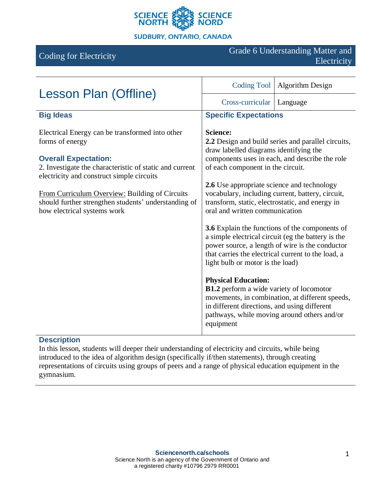

# Coding for Electricity Grade 6 Understanding Matter and Electricity

| Lesson Plan (Offline)                                                                                                                                                                                                                                                                                                                              | <b>Coding Tool</b>                                                                                                                                                                                                                                                                                                                                                                                                                                                                                                                                                                                                    | <b>Algorithm Design</b>                                                                        |
|----------------------------------------------------------------------------------------------------------------------------------------------------------------------------------------------------------------------------------------------------------------------------------------------------------------------------------------------------|-----------------------------------------------------------------------------------------------------------------------------------------------------------------------------------------------------------------------------------------------------------------------------------------------------------------------------------------------------------------------------------------------------------------------------------------------------------------------------------------------------------------------------------------------------------------------------------------------------------------------|------------------------------------------------------------------------------------------------|
|                                                                                                                                                                                                                                                                                                                                                    | Cross-curricular                                                                                                                                                                                                                                                                                                                                                                                                                                                                                                                                                                                                      | Language                                                                                       |
| <b>Big Ideas</b>                                                                                                                                                                                                                                                                                                                                   | <b>Specific Expectations</b>                                                                                                                                                                                                                                                                                                                                                                                                                                                                                                                                                                                          |                                                                                                |
| Electrical Energy can be transformed into other<br>forms of energy<br><b>Overall Expectation:</b><br>2. Investigate the characteristic of static and current<br>electricity and construct simple circuits<br>From Curriculum Overview: Building of Circuits<br>should further strengthen students' understanding of<br>how electrical systems work | <b>Science:</b><br>2.2 Design and build series and parallel circuits,<br>draw labelled diagrams identifying the<br>components uses in each, and describe the role<br>of each component in the circuit.<br>2.6 Use appropriate science and technology<br>vocabulary, including current, battery, circuit,<br>transform, static, electrostatic, and energy in<br>oral and written communication<br><b>3.6</b> Explain the functions of the components of<br>a simple electrical circuit (eg the battery is the<br>power source, a length of wire is the conductor<br>that carries the electrical current to the load, a |                                                                                                |
|                                                                                                                                                                                                                                                                                                                                                    | <b>Physical Education:</b><br>B1.2 perform a wide variety of locomotor<br>in different directions, and using different<br>equipment                                                                                                                                                                                                                                                                                                                                                                                                                                                                                   | movements, in combination, at different speeds,<br>pathways, while moving around others and/or |

## **Description**

In this lesson, students will deeper their understanding of electricity and circuits, while being introduced to the idea of algorithm design (specifically if/then statements), through creating representations of circuits using groups of peers and a range of physical education equipment in the gymnasium.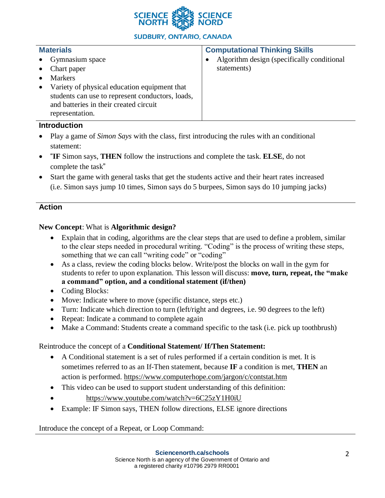

## **SUDBURY, ONTARIO, CANADA**

| <b>Materials</b>                                          | <b>Computational Thinking Skills</b>        |
|-----------------------------------------------------------|---------------------------------------------|
| Gymnasium space<br>$\bullet$                              | Algorithm design (specifically conditional) |
| Chart paper<br>$\bullet$                                  | statements)                                 |
| <b>Markers</b>                                            |                                             |
| Variety of physical education equipment that<br>$\bullet$ |                                             |
| students can use to represent conductors, loads,          |                                             |
| and batteries in their created circuit                    |                                             |
| representation.                                           |                                             |

#### **Introduction**

- Play a game of *Simon Says* with the class, first introducing the rules with an conditional statement:
- "**IF** Simon says, **THEN** follow the instructions and complete the task. **ELSE**, do not complete the task"
- Start the game with general tasks that get the students active and their heart rates increased (i.e. Simon says jump 10 times, Simon says do 5 burpees, Simon says do 10 jumping jacks)

## **Action**

## **New Concept**: What is **Algorithmic design?**

- Explain that in coding, algorithms are the clear steps that are used to define a problem, similar to the clear steps needed in procedural writing. "Coding" is the process of writing these steps, something that we can call "writing code" or "coding"
- As a class, review the coding blocks below. Write/post the blocks on wall in the gym for students to refer to upon explanation. This lesson will discuss: **move, turn, repeat, the "make a command" option, and a conditional statement (if/then)**
- Coding Blocks:
- Move: Indicate where to move (specific distance, steps etc.)
- Turn: Indicate which direction to turn (left/right and degrees, i.e. 90 degrees to the left)
- Repeat: Indicate a command to complete again
- Make a Command: Students create a command specific to the task (i.e. pick up toothbrush)

### Reintroduce the concept of a **Conditional Statement/ If/Then Statement:**

- A Conditional statement is a set of rules performed if a certain condition is met. It is sometimes referred to as an If-Then statement, because **IF** a condition is met, **THEN** an action is performed. <https://www.computerhope.com/jargon/c/contstat.htm>
- This video can be used to support student understanding of this definition:
- <https://www.youtube.com/watch?v=6C25zY1H0iU>
- Example: IF Simon says, THEN follow directions, ELSE ignore directions

Introduce the concept of a Repeat, or Loop Command: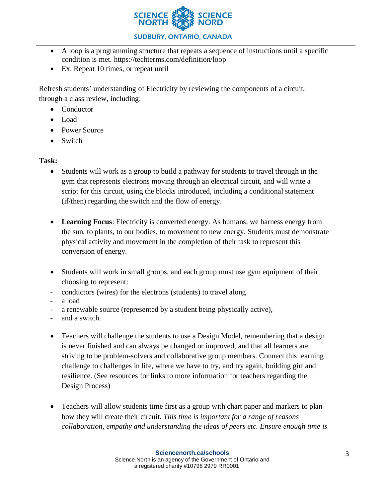

## **SUDBURY, ONTARIO, CANADA**

- A loop is a programming structure that repeats a sequence of instructions until a specific condition is met.<https://techterms.com/definition/loop>
- Ex. Repeat 10 times, or repeat until

Refresh students' understanding of Electricity by reviewing the components of a circuit, through a class review, including:

- Conductor
- Load
- Power Source
- Switch

## **Task:**

- Students will work as a group to build a pathway for students to travel through in the gym that represents electrons moving through an electrical circuit, and will write a script for this circuit, using the blocks introduced, including a conditional statement (if/then) regarding the switch and the flow of energy.
- **Learning Focus**: Electricity is converted energy. As humans, we harness energy from the sun, to plants, to our bodies, to movement to new energy. Students must demonstrate physical activity and movement in the completion of their task to represent this conversion of energy.
- Students will work in small groups, and each group must use gym equipment of their choosing to represent:
- conductors (wires) for the electrons (students) to travel along
- a load
- a renewable source (represented by a student being physically active),
- and a switch.
- Teachers will challenge the students to use a Design Model, remembering that a design is never finished and can always be changed or improved, and that all learners are striving to be problem-solvers and collaborative group members. Connect this learning challenge to challenges in life, where we have to try, and try again, building girt and resilience. (See resources for links to more information for teachers regarding the Design Process)
- Teachers will allow students time first as a group with chart paper and markers to plan how they will create their circuit. *This time is important for a range of reasons – collaboration, empathy and understanding the ideas of peers etc. Ensure enough time is*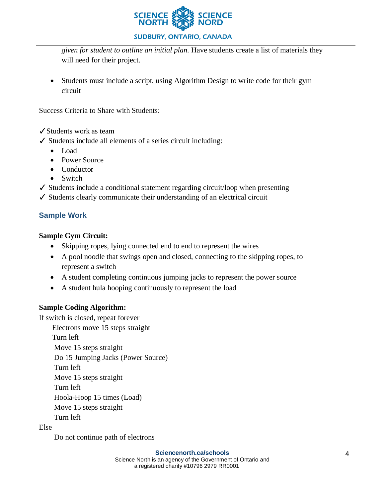

### **SUDBURY, ONTARIO, CANADA**

*given for student to outline an initial plan.* Have students create a list of materials they will need for their project.

• Students must include a script, using Algorithm Design to write code for their gym circuit

Success Criteria to Share with Students:

✓Students work as team

✓ Students include all elements of a series circuit including:

- Load
- Power Source
- Conductor
- Switch
- ✓ Students include a conditional statement regarding circuit/loop when presenting
- ✓ Students clearly communicate their understanding of an electrical circuit

## **Sample Work**

### **Sample Gym Circuit:**

- Skipping ropes, lying connected end to end to represent the wires
- A pool noodle that swings open and closed, connecting to the skipping ropes, to represent a switch
- A student completing continuous jumping jacks to represent the power source
- A student hula hooping continuously to represent the load

## **Sample Coding Algorithm:**

If switch is closed, repeat forever

Electrons move 15 steps straight

Turn left

Move 15 steps straight

Do 15 Jumping Jacks (Power Source)

Turn left

Move 15 steps straight

Turn left

Hoola-Hoop 15 times (Load)

Move 15 steps straight

Turn left

Else

Do not continue path of electrons